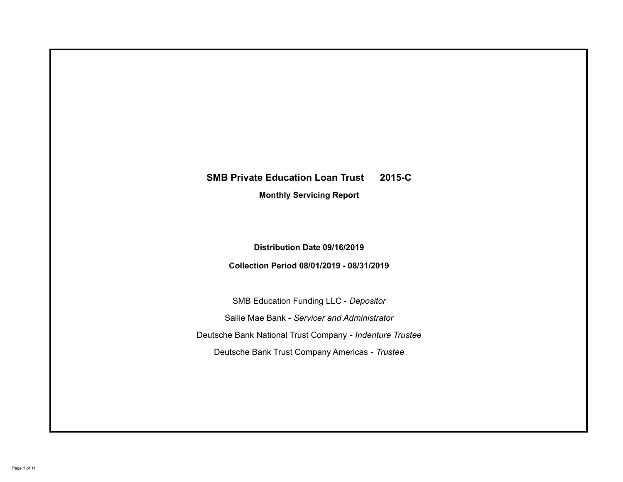# **SMB Private Education Loan Trust 2015-C Monthly Servicing Report**

# **Distribution Date 09/16/2019**

# **Collection Period 08/01/2019 - 08/31/2019**

SMB Education Funding LLC - *Depositor* Sallie Mae Bank - *Servicer and Administrator* Deutsche Bank National Trust Company - *Indenture Trustee* Deutsche Bank Trust Company Americas - *Trustee*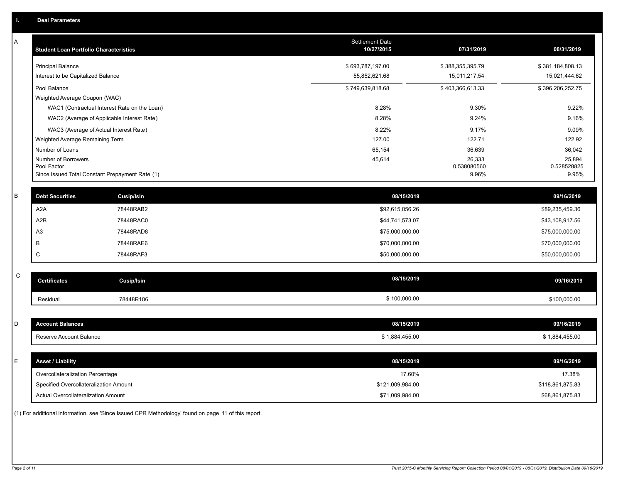| A           | <b>Student Loan Portfolio Characteristics</b> |                                                 | Settlement Date<br>10/27/2015 | 07/31/2019       | 08/31/2019       |
|-------------|-----------------------------------------------|-------------------------------------------------|-------------------------------|------------------|------------------|
|             | <b>Principal Balance</b>                      |                                                 | \$693,787,197.00              | \$388,355,395.79 | \$381,184,808.13 |
|             | Interest to be Capitalized Balance            |                                                 | 55,852,621.68                 | 15,011,217.54    | 15,021,444.62    |
|             | Pool Balance                                  |                                                 | \$749,639,818.68              | \$403,366,613.33 | \$396,206,252.75 |
|             | Weighted Average Coupon (WAC)                 |                                                 |                               |                  |                  |
|             |                                               | WAC1 (Contractual Interest Rate on the Loan)    | 8.28%                         | 9.30%            | 9.22%            |
|             |                                               | WAC2 (Average of Applicable Interest Rate)      | 8.28%                         | 9.24%            | 9.16%            |
|             |                                               | WAC3 (Average of Actual Interest Rate)          | 8.22%                         | 9.17%            | 9.09%            |
|             | Weighted Average Remaining Term               |                                                 | 127.00                        | 122.71           | 122.92           |
|             | Number of Loans<br>Number of Borrowers        |                                                 | 65,154<br>45,614              | 36,639<br>26,333 | 36,042<br>25,894 |
|             | Pool Factor                                   |                                                 |                               | 0.538080560      | 0.528528825      |
|             |                                               | Since Issued Total Constant Prepayment Rate (1) |                               | 9.96%            | 9.95%            |
|             |                                               |                                                 |                               |                  |                  |
| B           | <b>Debt Securities</b>                        | <b>Cusip/Isin</b>                               | 08/15/2019                    |                  | 09/16/2019       |
|             | A2A                                           | 78448RAB2                                       | \$92,615,056.26               |                  | \$89,235,459.36  |
|             | A2B                                           | 78448RAC0                                       | \$44,741,573.07               |                  | \$43,108,917.56  |
|             | A3                                            | 78448RAD8                                       | \$75,000,000.00               |                  | \$75,000,000.00  |
|             | В                                             | 78448RAE6                                       | \$70,000,000.00               |                  | \$70,000,000.00  |
|             | C                                             | 78448RAF3                                       | \$50,000,000.00               |                  | \$50,000,000.00  |
|             |                                               |                                                 |                               |                  |                  |
| $\mathsf C$ | <b>Certificates</b>                           | <b>Cusip/Isin</b>                               | 08/15/2019                    |                  | 09/16/2019       |
|             | Residual                                      | 78448R106                                       | \$100,000.00                  |                  | \$100,000.00     |
|             |                                               |                                                 |                               |                  |                  |
| D           | <b>Account Balances</b>                       |                                                 | 08/15/2019                    |                  | 09/16/2019       |
|             | Reserve Account Balance                       |                                                 | \$1,884,455.00                |                  | \$1,884,455.00   |
|             |                                               |                                                 |                               |                  |                  |
| Ε           | <b>Asset / Liability</b>                      |                                                 | 08/15/2019                    |                  | 09/16/2019       |
|             | Overcollateralization Percentage              |                                                 | 17.60%                        |                  | 17.38%           |
|             | Specified Overcollateralization Amount        |                                                 | \$121,009,984.00              |                  | \$118,861,875.83 |
|             | Actual Overcollateralization Amount           |                                                 | \$71,009,984.00               |                  | \$68,861,875.83  |

(1) For additional information, see 'Since Issued CPR Methodology' found on page 11 of this report.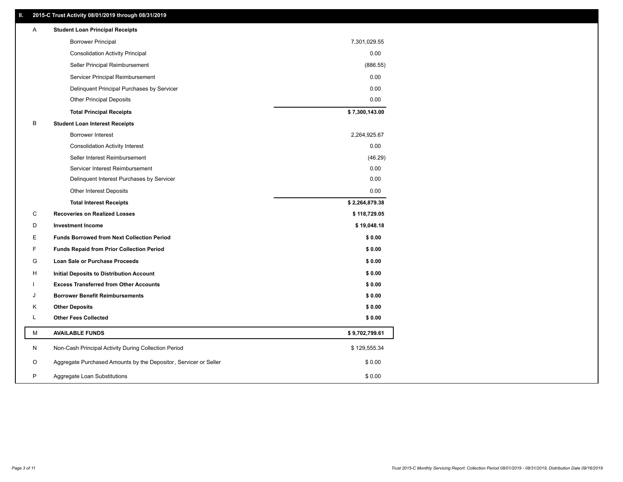### **II. 2015-C Trust Activity 08/01/2019 through 08/31/2019**

| Α | <b>Student Loan Principal Receipts</b>                           |                |
|---|------------------------------------------------------------------|----------------|
|   | <b>Borrower Principal</b>                                        | 7,301,029.55   |
|   | <b>Consolidation Activity Principal</b>                          | 0.00           |
|   | Seller Principal Reimbursement                                   | (886.55)       |
|   | Servicer Principal Reimbursement                                 | 0.00           |
|   | Delinquent Principal Purchases by Servicer                       | 0.00           |
|   | <b>Other Principal Deposits</b>                                  | 0.00           |
|   | <b>Total Principal Receipts</b>                                  | \$7,300,143.00 |
| В | <b>Student Loan Interest Receipts</b>                            |                |
|   | Borrower Interest                                                | 2,264,925.67   |
|   | <b>Consolidation Activity Interest</b>                           | 0.00           |
|   | Seller Interest Reimbursement                                    | (46.29)        |
|   | Servicer Interest Reimbursement                                  | 0.00           |
|   | Delinquent Interest Purchases by Servicer                        | 0.00           |
|   | Other Interest Deposits                                          | 0.00           |
|   | <b>Total Interest Receipts</b>                                   | \$2,264,879.38 |
| C | <b>Recoveries on Realized Losses</b>                             | \$118,729.05   |
| D | <b>Investment Income</b>                                         | \$19,048.18    |
| Е | <b>Funds Borrowed from Next Collection Period</b>                | \$0.00         |
| F | <b>Funds Repaid from Prior Collection Period</b>                 | \$0.00         |
| G | Loan Sale or Purchase Proceeds                                   | \$0.00         |
| н | <b>Initial Deposits to Distribution Account</b>                  | \$0.00         |
|   | <b>Excess Transferred from Other Accounts</b>                    | \$0.00         |
| J | <b>Borrower Benefit Reimbursements</b>                           | \$0.00         |
| Κ | <b>Other Deposits</b>                                            | \$0.00         |
| L | <b>Other Fees Collected</b>                                      | \$0.00         |
| М | <b>AVAILABLE FUNDS</b>                                           | \$9,702,799.61 |
| N | Non-Cash Principal Activity During Collection Period             | \$129,555.34   |
| O | Aggregate Purchased Amounts by the Depositor, Servicer or Seller | \$0.00         |
| P | Aggregate Loan Substitutions                                     | \$0.00         |
|   |                                                                  |                |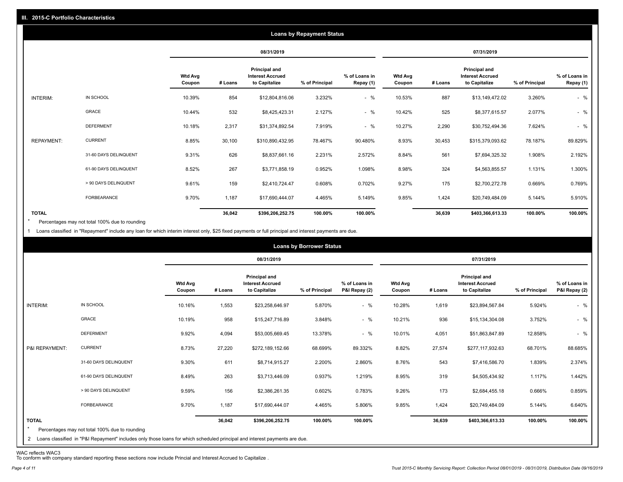|                   |                       |                          |         |                                                                  | <b>Loans by Repayment Status</b> |                            |                          |         |                                                           |                |                            |
|-------------------|-----------------------|--------------------------|---------|------------------------------------------------------------------|----------------------------------|----------------------------|--------------------------|---------|-----------------------------------------------------------|----------------|----------------------------|
|                   |                       |                          |         | 08/31/2019                                                       |                                  |                            |                          |         | 07/31/2019                                                |                |                            |
|                   |                       | <b>Wtd Avg</b><br>Coupon | # Loans | <b>Principal and</b><br><b>Interest Accrued</b><br>to Capitalize | % of Principal                   | % of Loans in<br>Repay (1) | <b>Wtd Avg</b><br>Coupon | # Loans | Principal and<br><b>Interest Accrued</b><br>to Capitalize | % of Principal | % of Loans in<br>Repay (1) |
| INTERIM:          | IN SCHOOL             | 10.39%                   | 854     | \$12,804,816.06                                                  | 3.232%                           | $-$ %                      | 10.53%                   | 887     | \$13,149,472.02                                           | 3.260%         | $-$ %                      |
|                   | <b>GRACE</b>          | 10.44%                   | 532     | \$8,425,423.31                                                   | 2.127%                           | $-$ %                      | 10.42%                   | 525     | \$8,377,615.57                                            | 2.077%         | $-$ %                      |
|                   | <b>DEFERMENT</b>      | 10.18%                   | 2,317   | \$31,374,892.54                                                  | 7.919%                           | $-$ %                      | 10.27%                   | 2,290   | \$30,752,494.36                                           | 7.624%         | $-$ %                      |
| <b>REPAYMENT:</b> | <b>CURRENT</b>        | 8.85%                    | 30,100  | \$310,890,432.95                                                 | 78.467%                          | 90.480%                    | 8.93%                    | 30,453  | \$315,379,093.62                                          | 78.187%        | 89.829%                    |
|                   | 31-60 DAYS DELINQUENT | 9.31%                    | 626     | \$8,837,661.16                                                   | 2.231%                           | 2.572%                     | 8.84%                    | 561     | \$7,694,325.32                                            | 1.908%         | 2.192%                     |
|                   | 61-90 DAYS DELINQUENT | 8.52%                    | 267     | \$3,771,858.19                                                   | 0.952%                           | 1.098%                     | 8.98%                    | 324     | \$4,563,855.57                                            | 1.131%         | 1.300%                     |
|                   | > 90 DAYS DELINQUENT  | 9.61%                    | 159     | \$2,410,724.47                                                   | 0.608%                           | 0.702%                     | 9.27%                    | 175     | \$2,700,272.78                                            | 0.669%         | 0.769%                     |
|                   | FORBEARANCE           | 9.70%                    | 1,187   | \$17,690,444.07                                                  | 4.465%                           | 5.149%                     | 9.85%                    | 1,424   | \$20,749,484.09                                           | 5.144%         | 5.910%                     |
| <b>TOTAL</b>      |                       |                          | 36,042  | \$396,206,252.75                                                 | 100.00%                          | 100.00%                    |                          | 36,639  | \$403,366,613.33                                          | 100.00%        | 100.00%                    |

Percentages may not total 100% due to rounding  $\star$ 

1 Loans classified in "Repayment" include any loan for which interim interest only, \$25 fixed payments or full principal and interest payments are due.

|                         |                                                                                                                                                                                |                          |         |                                                           | <b>Loans by Borrower Status</b> |                                |                          |         |                                                                  |                |                                |
|-------------------------|--------------------------------------------------------------------------------------------------------------------------------------------------------------------------------|--------------------------|---------|-----------------------------------------------------------|---------------------------------|--------------------------------|--------------------------|---------|------------------------------------------------------------------|----------------|--------------------------------|
|                         |                                                                                                                                                                                |                          |         | 08/31/2019                                                |                                 |                                |                          |         | 07/31/2019                                                       |                |                                |
|                         |                                                                                                                                                                                | <b>Wtd Avg</b><br>Coupon | # Loans | Principal and<br><b>Interest Accrued</b><br>to Capitalize | % of Principal                  | % of Loans in<br>P&I Repay (2) | <b>Wtd Avg</b><br>Coupon | # Loans | <b>Principal and</b><br><b>Interest Accrued</b><br>to Capitalize | % of Principal | % of Loans in<br>P&I Repay (2) |
| INTERIM:                | IN SCHOOL                                                                                                                                                                      | 10.16%                   | 1,553   | \$23,258,646.97                                           | 5.870%                          | $-$ %                          | 10.28%                   | 1,619   | \$23,894,567.84                                                  | 5.924%         | $-$ %                          |
|                         | GRACE                                                                                                                                                                          | 10.19%                   | 958     | \$15,247,716.89                                           | 3.848%                          | $-$ %                          | 10.21%                   | 936     | \$15,134,304.08                                                  | 3.752%         | $-$ %                          |
|                         | <b>DEFERMENT</b>                                                                                                                                                               | 9.92%                    | 4,094   | \$53,005,669.45                                           | 13.378%                         | $-$ %                          | 10.01%                   | 4,051   | \$51,863,847.89                                                  | 12.858%        | $-$ %                          |
| P&I REPAYMENT:          | <b>CURRENT</b>                                                                                                                                                                 | 8.73%                    | 27,220  | \$272,189,152.66                                          | 68.699%                         | 89.332%                        | 8.82%                    | 27,574  | \$277,117,932.63                                                 | 68.701%        | 88.685%                        |
|                         | 31-60 DAYS DELINQUENT                                                                                                                                                          | 9.30%                    | 611     | \$8,714,915.27                                            | 2.200%                          | 2.860%                         | 8.76%                    | 543     | \$7,416,586.70                                                   | 1.839%         | 2.374%                         |
|                         | 61-90 DAYS DELINQUENT                                                                                                                                                          | 8.49%                    | 263     | \$3,713,446.09                                            | 0.937%                          | 1.219%                         | 8.95%                    | 319     | \$4,505,434.92                                                   | 1.117%         | 1.442%                         |
|                         | > 90 DAYS DELINQUENT                                                                                                                                                           | 9.59%                    | 156     | \$2,386,261.35                                            | 0.602%                          | 0.783%                         | 9.26%                    | 173     | \$2,684,455.18                                                   | 0.666%         | 0.859%                         |
|                         | FORBEARANCE                                                                                                                                                                    | 9.70%                    | 1,187   | \$17,690,444.07                                           | 4.465%                          | 5.806%                         | 9.85%                    | 1,424   | \$20,749,484.09                                                  | 5.144%         | 6.640%                         |
| <b>TOTAL</b><br>$\star$ | Percentages may not total 100% due to rounding<br>2 Loans classified in "P&I Repayment" includes only those loans for which scheduled principal and interest payments are due. |                          | 36,042  | \$396,206,252.75                                          | 100.00%                         | 100.00%                        |                          | 36,639  | \$403,366,613.33                                                 | 100.00%        | 100.00%                        |

WAC reflects WAC3 To conform with company standard reporting these sections now include Princial and Interest Accrued to Capitalize .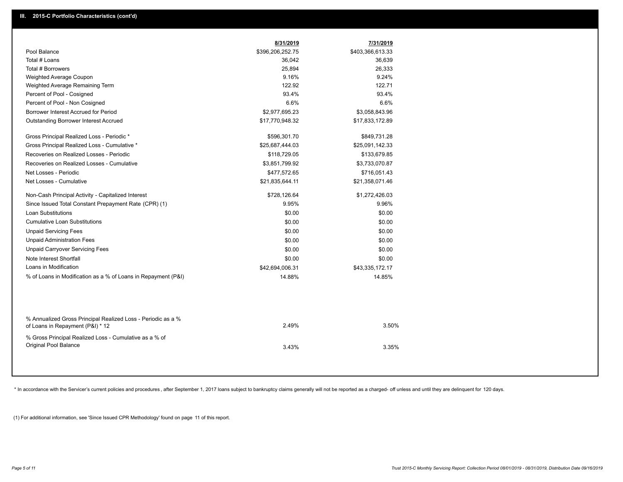|                                                                                                  | 8/31/2019        | 7/31/2019        |  |
|--------------------------------------------------------------------------------------------------|------------------|------------------|--|
| Pool Balance                                                                                     | \$396,206,252.75 | \$403,366,613.33 |  |
| Total # Loans                                                                                    | 36,042           | 36,639           |  |
| Total # Borrowers                                                                                | 25,894           | 26,333           |  |
| Weighted Average Coupon                                                                          | 9.16%            | 9.24%            |  |
| Weighted Average Remaining Term                                                                  | 122.92           | 122.71           |  |
| Percent of Pool - Cosigned                                                                       | 93.4%            | 93.4%            |  |
| Percent of Pool - Non Cosigned                                                                   | 6.6%             | 6.6%             |  |
| Borrower Interest Accrued for Period                                                             | \$2,977,695.23   | \$3,058,843.96   |  |
| <b>Outstanding Borrower Interest Accrued</b>                                                     | \$17,770,948.32  | \$17,833,172.89  |  |
| Gross Principal Realized Loss - Periodic *                                                       | \$596,301.70     | \$849,731.28     |  |
| Gross Principal Realized Loss - Cumulative *                                                     | \$25,687,444.03  | \$25,091,142.33  |  |
| Recoveries on Realized Losses - Periodic                                                         | \$118,729.05     | \$133,679.85     |  |
| Recoveries on Realized Losses - Cumulative                                                       | \$3,851,799.92   | \$3,733,070.87   |  |
| Net Losses - Periodic                                                                            | \$477,572.65     | \$716,051.43     |  |
| Net Losses - Cumulative                                                                          | \$21,835,644.11  | \$21,358,071.46  |  |
| Non-Cash Principal Activity - Capitalized Interest                                               | \$728,126.64     | \$1,272,426.03   |  |
| Since Issued Total Constant Prepayment Rate (CPR) (1)                                            | 9.95%            | 9.96%            |  |
| <b>Loan Substitutions</b>                                                                        | \$0.00           | \$0.00           |  |
| <b>Cumulative Loan Substitutions</b>                                                             | \$0.00           | \$0.00           |  |
| <b>Unpaid Servicing Fees</b>                                                                     | \$0.00           | \$0.00           |  |
| <b>Unpaid Administration Fees</b>                                                                | \$0.00           | \$0.00           |  |
| <b>Unpaid Carryover Servicing Fees</b>                                                           | \$0.00           | \$0.00           |  |
| Note Interest Shortfall                                                                          | \$0.00           | \$0.00           |  |
| Loans in Modification                                                                            | \$42,694,006.31  | \$43,335,172.17  |  |
| % of Loans in Modification as a % of Loans in Repayment (P&I)                                    | 14.88%           | 14.85%           |  |
|                                                                                                  |                  |                  |  |
| % Annualized Gross Principal Realized Loss - Periodic as a %<br>of Loans in Repayment (P&I) * 12 | 2.49%            | 3.50%            |  |
| % Gross Principal Realized Loss - Cumulative as a % of<br>Original Pool Balance                  | 3.43%            | 3.35%            |  |
|                                                                                                  |                  |                  |  |

\* In accordance with the Servicer's current policies and procedures, after September 1, 2017 loans subject to bankruptcy claims generally will not be reported as a charged- off unless and until they are delinquent for 120

(1) For additional information, see 'Since Issued CPR Methodology' found on page 11 of this report.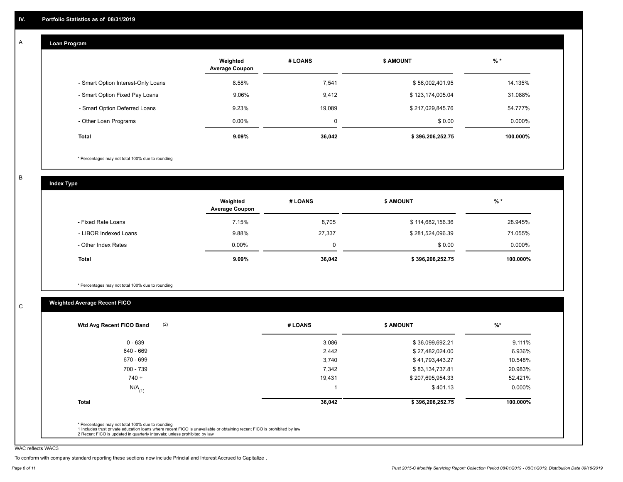#### **Loan Program**  A

|                                    | Weighted<br><b>Average Coupon</b> | # LOANS | <b>\$ AMOUNT</b> | $%$ *     |
|------------------------------------|-----------------------------------|---------|------------------|-----------|
| - Smart Option Interest-Only Loans | 8.58%                             | 7,541   | \$56,002,401.95  | 14.135%   |
| - Smart Option Fixed Pay Loans     | 9.06%                             | 9,412   | \$123,174,005.04 | 31.088%   |
| - Smart Option Deferred Loans      | 9.23%                             | 19.089  | \$217,029,845.76 | 54.777%   |
| - Other Loan Programs              | $0.00\%$                          | 0       | \$0.00           | $0.000\%$ |
| <b>Total</b>                       | 9.09%                             | 36,042  | \$396,206,252.75 | 100.000%  |

\* Percentages may not total 100% due to rounding

B

C

**Index Type**

|                       | Weighted<br><b>Average Coupon</b> | # LOANS | <b>\$ AMOUNT</b> | $%$ *     |
|-----------------------|-----------------------------------|---------|------------------|-----------|
| - Fixed Rate Loans    | 7.15%                             | 8,705   | \$114,682,156.36 | 28.945%   |
| - LIBOR Indexed Loans | 9.88%                             | 27,337  | \$281,524,096.39 | 71.055%   |
| - Other Index Rates   | $0.00\%$                          |         | \$0.00           | $0.000\%$ |
| Total                 | 9.09%                             | 36,042  | \$396,206,252.75 | 100.000%  |

\* Percentages may not total 100% due to rounding

# **Weighted Average Recent FICO**

| (2)<br>Wtd Avg Recent FICO Band | # LOANS | <b>\$ AMOUNT</b> | $%$ *     |
|---------------------------------|---------|------------------|-----------|
| $0 - 639$                       | 3,086   | \$36,099,692.21  | 9.111%    |
| 640 - 669                       | 2,442   | \$27,482,024.00  | 6.936%    |
| 670 - 699                       | 3,740   | \$41,793,443.27  | 10.548%   |
| 700 - 739                       | 7,342   | \$83,134,737.81  | 20.983%   |
| $740 +$                         | 19,431  | \$207,695,954.33 | 52.421%   |
| $N/A$ <sub>(1)</sub>            |         | \$401.13         | $0.000\%$ |
| <b>Total</b>                    | 36,042  | \$396,206,252.75 | 100.000%  |
|                                 |         |                  |           |

WAC reflects WAC3

To conform with company standard reporting these sections now include Princial and Interest Accrued to Capitalize .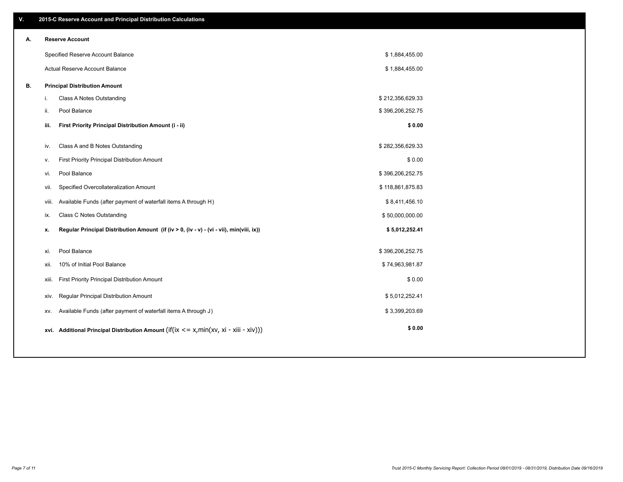| V. |       | 2015-C Reserve Account and Principal Distribution Calculations                             |                  |  |
|----|-------|--------------------------------------------------------------------------------------------|------------------|--|
| А. |       | <b>Reserve Account</b>                                                                     |                  |  |
|    |       | Specified Reserve Account Balance                                                          | \$1,884,455.00   |  |
|    |       | Actual Reserve Account Balance                                                             | \$1,884,455.00   |  |
| В. |       | <b>Principal Distribution Amount</b>                                                       |                  |  |
|    | i.    | Class A Notes Outstanding                                                                  | \$212,356,629.33 |  |
|    | ji.   | Pool Balance                                                                               | \$396,206,252.75 |  |
|    | iii.  | First Priority Principal Distribution Amount (i - ii)                                      | \$0.00           |  |
|    | iv.   | Class A and B Notes Outstanding                                                            | \$282,356,629.33 |  |
|    | v.    | First Priority Principal Distribution Amount                                               | \$0.00           |  |
|    | vi.   | Pool Balance                                                                               | \$396,206,252.75 |  |
|    | vii.  | Specified Overcollateralization Amount                                                     | \$118,861,875.83 |  |
|    | viii. | Available Funds (after payment of waterfall items A through H)                             | \$8,411,456.10   |  |
|    | ix.   | <b>Class C Notes Outstanding</b>                                                           | \$50,000,000.00  |  |
|    | х.    | Regular Principal Distribution Amount (if (iv > 0, (iv - v) - (vi - vii), min(viii, ix))   | \$5,012,252.41   |  |
|    | xi.   | Pool Balance                                                                               | \$396,206,252.75 |  |
|    | xii.  | 10% of Initial Pool Balance                                                                | \$74,963,981.87  |  |
|    |       | First Priority Principal Distribution Amount<br>xiii.                                      | \$0.00           |  |
|    |       | Regular Principal Distribution Amount<br>xiv.                                              | \$5,012,252.41   |  |
|    | XV.   | Available Funds (after payment of waterfall items A through J)                             | \$3,399,203.69   |  |
|    |       | xvi. Additional Principal Distribution Amount (if(ix $\lt$ = x, min(xv, xi - xiii - xiv))) | \$0.00           |  |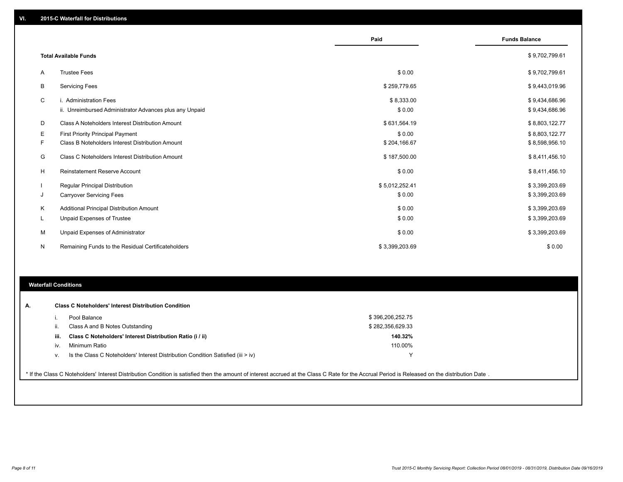|    |                                                         | Paid           | <b>Funds Balance</b> |
|----|---------------------------------------------------------|----------------|----------------------|
|    | <b>Total Available Funds</b>                            |                | \$9,702,799.61       |
| A  | <b>Trustee Fees</b>                                     | \$0.00         | \$9,702,799.61       |
| В  | <b>Servicing Fees</b>                                   | \$259,779.65   | \$9,443,019.96       |
| C  | i. Administration Fees                                  | \$8,333.00     | \$9,434,686.96       |
|    | ii. Unreimbursed Administrator Advances plus any Unpaid | \$0.00         | \$9,434,686.96       |
| D  | Class A Noteholders Interest Distribution Amount        | \$631,564.19   | \$8,803,122.77       |
| Е  | <b>First Priority Principal Payment</b>                 | \$0.00         | \$8,803,122.77       |
| F. | Class B Noteholders Interest Distribution Amount        | \$204,166.67   | \$8,598,956.10       |
| G  | <b>Class C Noteholders Interest Distribution Amount</b> | \$187,500.00   | \$8,411,456.10       |
| H  | <b>Reinstatement Reserve Account</b>                    | \$0.00         | \$8,411,456.10       |
|    | <b>Regular Principal Distribution</b>                   | \$5,012,252.41 | \$3,399,203.69       |
| J  | <b>Carryover Servicing Fees</b>                         | \$0.00         | \$3,399,203.69       |
| Κ  | Additional Principal Distribution Amount                | \$0.00         | \$3,399,203.69       |
| L  | Unpaid Expenses of Trustee                              | \$0.00         | \$3,399,203.69       |
| м  | Unpaid Expenses of Administrator                        | \$0.00         | \$3,399,203.69       |
| N  | Remaining Funds to the Residual Certificateholders      | \$3,399,203.69 | \$0.00               |

#### **Waterfall Conditions**

|      | Pool Balance                                                                     | \$396,206,252.75 |  |
|------|----------------------------------------------------------------------------------|------------------|--|
| Ш.   | Class A and B Notes Outstanding                                                  | \$282,356,629.33 |  |
| iii. | Class C Noteholders' Interest Distribution Ratio (i / ii)                        | 140.32%          |  |
| iv.  | Minimum Ratio                                                                    | 110.00%          |  |
| ν.   | Is the Class C Noteholders' Interest Distribution Condition Satisfied (iii > iv) | v                |  |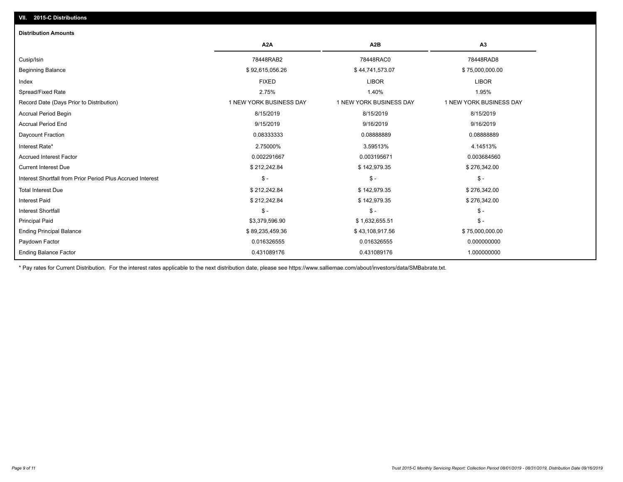## **VII. 2015-C Distributions**

| <b>Distribution Amounts</b>                                |                         |                         |                         |
|------------------------------------------------------------|-------------------------|-------------------------|-------------------------|
|                                                            | A <sub>2</sub> A        | A <sub>2</sub> B        | A3                      |
| Cusip/Isin                                                 | 78448RAB2               | 78448RAC0               | 78448RAD8               |
| <b>Beginning Balance</b>                                   | \$92,615,056.26         | \$44,741,573.07         | \$75,000,000.00         |
| Index                                                      | <b>FIXED</b>            | <b>LIBOR</b>            | <b>LIBOR</b>            |
| Spread/Fixed Rate                                          | 2.75%                   | 1.40%                   | 1.95%                   |
| Record Date (Days Prior to Distribution)                   | 1 NEW YORK BUSINESS DAY | 1 NEW YORK BUSINESS DAY | 1 NEW YORK BUSINESS DAY |
| <b>Accrual Period Begin</b>                                | 8/15/2019               | 8/15/2019               | 8/15/2019               |
| <b>Accrual Period End</b>                                  | 9/15/2019               | 9/16/2019               | 9/16/2019               |
| Daycount Fraction                                          | 0.08333333              | 0.08888889              | 0.08888889              |
| Interest Rate*                                             | 2.75000%                | 3.59513%                | 4.14513%                |
| <b>Accrued Interest Factor</b>                             | 0.002291667             | 0.003195671             | 0.003684560             |
| <b>Current Interest Due</b>                                | \$212,242.84            | \$142,979.35            | \$276,342.00            |
| Interest Shortfall from Prior Period Plus Accrued Interest | $$ -$                   | $$ -$                   | $\mathsf{\$}$ -         |
| <b>Total Interest Due</b>                                  | \$212,242.84            | \$142,979.35            | \$276,342.00            |
| <b>Interest Paid</b>                                       | \$212,242.84            | \$142,979.35            | \$276,342.00            |
| <b>Interest Shortfall</b>                                  | $$ -$                   | $$ -$                   | $\mathsf{\$}$ -         |
| <b>Principal Paid</b>                                      | \$3,379,596.90          | \$1,632,655.51          | $\mathsf{\$}$ -         |
| <b>Ending Principal Balance</b>                            | \$89,235,459.36         | \$43,108,917.56         | \$75,000,000.00         |
| Paydown Factor                                             | 0.016326555             | 0.016326555             | 0.000000000             |
| <b>Ending Balance Factor</b>                               | 0.431089176             | 0.431089176             | 1.000000000             |

\* Pay rates for Current Distribution. For the interest rates applicable to the next distribution date, please see https://www.salliemae.com/about/investors/data/SMBabrate.txt.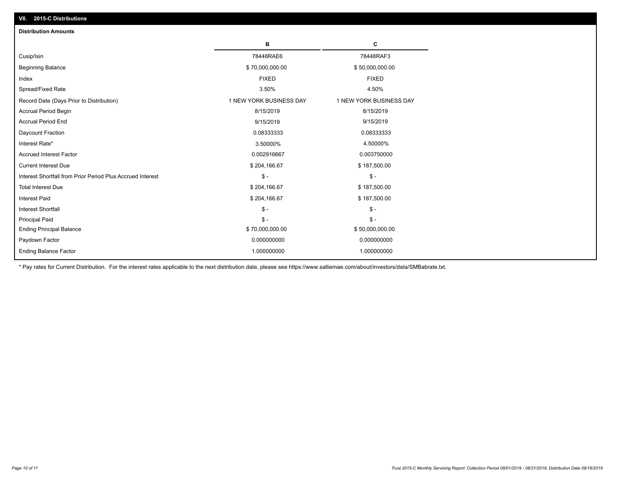| VII. 2015-C Distributions                                  |                         |                         |
|------------------------------------------------------------|-------------------------|-------------------------|
| <b>Distribution Amounts</b>                                |                         |                         |
|                                                            | в                       | C                       |
| Cusip/Isin                                                 | 78448RAE6               | 78448RAF3               |
| <b>Beginning Balance</b>                                   | \$70,000,000.00         | \$50,000,000.00         |
| Index                                                      | <b>FIXED</b>            | <b>FIXED</b>            |
| Spread/Fixed Rate                                          | 3.50%                   | 4.50%                   |
| Record Date (Days Prior to Distribution)                   | 1 NEW YORK BUSINESS DAY | 1 NEW YORK BUSINESS DAY |
| <b>Accrual Period Begin</b>                                | 8/15/2019               | 8/15/2019               |
| <b>Accrual Period End</b>                                  | 9/15/2019               | 9/15/2019               |
| Daycount Fraction                                          | 0.08333333              | 0.08333333              |
| Interest Rate*                                             | 3.50000%                | 4.50000%                |
| <b>Accrued Interest Factor</b>                             | 0.002916667             | 0.003750000             |
| <b>Current Interest Due</b>                                | \$204,166.67            | \$187,500.00            |
| Interest Shortfall from Prior Period Plus Accrued Interest | $\mathsf{\$}$ -         | $\frac{1}{2}$           |
| <b>Total Interest Due</b>                                  | \$204,166.67            | \$187,500.00            |
| <b>Interest Paid</b>                                       | \$204,166.67            | \$187,500.00            |
| <b>Interest Shortfall</b>                                  | $\mathcal{S}$ -         | $\frac{1}{2}$           |
| <b>Principal Paid</b>                                      | $$ -$                   | $\mathsf{\$}$ -         |
| <b>Ending Principal Balance</b>                            | \$70,000,000.00         | \$50,000,000.00         |
| Paydown Factor                                             | 0.000000000             | 0.000000000             |
| <b>Ending Balance Factor</b>                               | 1.000000000             | 1.000000000             |
|                                                            |                         |                         |

\* Pay rates for Current Distribution. For the interest rates applicable to the next distribution date, please see https://www.salliemae.com/about/investors/data/SMBabrate.txt.